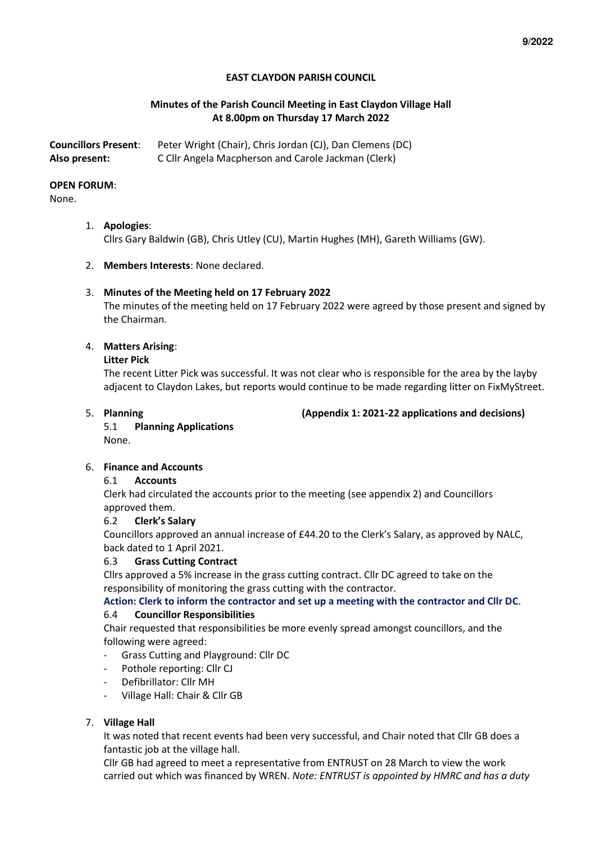# **EAST CLAYDON PARISH COUNCIL**

# **Minutes of the Parish Council Meeting in East Claydon Village Hall At 8.00pm on Thursday 17 March 2022**

| <b>Councillors Present:</b> | Peter Wright (Chair), Chris Jordan (CJ), Dan Clemens (DC) |
|-----------------------------|-----------------------------------------------------------|
| Also present:               | C Cllr Angela Macpherson and Carole Jackman (Clerk)       |

### **OPEN FORUM**:

None.

- 1. **Apologies**: Cllrs Gary Baldwin (GB), Chris Utley (CU), Martin Hughes (MH), Gareth Williams (GW).
- 2. **Members Interests**: None declared.

# 3. **Minutes of the Meeting held on 17 February 2022**

The minutes of the meeting held on 17 February 2022 were agreed by those present and signed by the Chairman.

# 4. **Matters Arising**:

### **Litter Pick**

The recent Litter Pick was successful. It was not clear who is responsible for the area by the layby adjacent to Claydon Lakes, but reports would continue to be made regarding litter on FixMyStreet.

5. **Planning (Appendix 1: 2021-22 applications and decisions)** 

5.1 **Planning Applications**  None.

# 6. **Finance and Accounts**

# 6.1 **Accounts**

Clerk had circulated the accounts prior to the meeting (see appendix 2) and Councillors approved them.

### 6.2 **Clerk's Salary**

Councillors approved an annual increase of £44.20 to the Clerk's Salary, as approved by NALC, back dated to 1 April 2021.

### 6.3 **Grass Cutting Contract**

Cllrs approved a 5% increase in the grass cutting contract. Cllr DC agreed to take on the responsibility of monitoring the grass cutting with the contractor.

# **Action: Clerk to inform the contractor and set up a meeting with the contractor and Cllr DC**.

### 6.4 **Councillor Responsibilities**

Chair requested that responsibilities be more evenly spread amongst councillors, and the following were agreed:

- Grass Cutting and Playground: Cllr DC
- Pothole reporting: Cllr CJ
- Defibrillator: Cllr MH
- Village Hall: Chair & Cllr GB

# 7. **Village Hall**

It was noted that recent events had been very successful, and Chair noted that Cllr GB does a fantastic job at the village hall.

Cllr GB had agreed to meet a representative from ENTRUST on 28 March to view the work carried out which was financed by WREN. *Note: ENTRUST is appointed by HMRC and has a duty*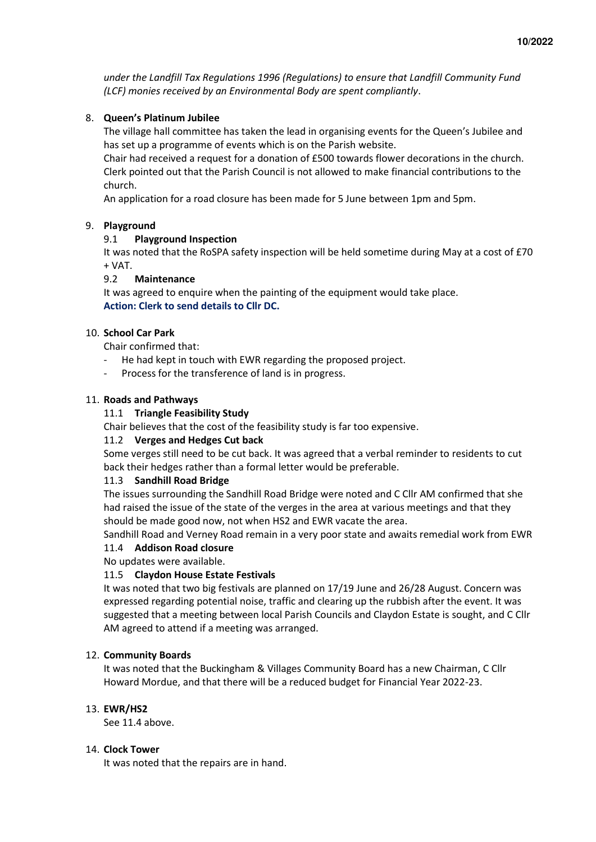*under the Landfill Tax Regulations 1996 (Regulations) to ensure that Landfill Community Fund (LCF) monies received by an Environmental Body are spent compliantly*.

# 8. **Queen's Platinum Jubilee**

The village hall committee has taken the lead in organising events for the Queen's Jubilee and has set up a programme of events which is on the Parish website.

Chair had received a request for a donation of £500 towards flower decorations in the church. Clerk pointed out that the Parish Council is not allowed to make financial contributions to the church.

An application for a road closure has been made for 5 June between 1pm and 5pm.

# 9. **Playground**

# 9.1 **Playground Inspection**

It was noted that the RoSPA safety inspection will be held sometime during May at a cost of £70 + VAT.

# 9.2 **Maintenance**

It was agreed to enquire when the painting of the equipment would take place. **Action: Clerk to send details to Cllr DC.** 

### 10. **School Car Park**

Chair confirmed that:

- He had kept in touch with EWR regarding the proposed project.
- Process for the transference of land is in progress.

# 11. **Roads and Pathways**

# 11.1 **Triangle Feasibility Study**

Chair believes that the cost of the feasibility study is far too expensive.

### 11.2 **Verges and Hedges Cut back**

Some verges still need to be cut back. It was agreed that a verbal reminder to residents to cut back their hedges rather than a formal letter would be preferable.

### 11.3 **Sandhill Road Bridge**

The issues surrounding the Sandhill Road Bridge were noted and C Cllr AM confirmed that she had raised the issue of the state of the verges in the area at various meetings and that they should be made good now, not when HS2 and EWR vacate the area.

Sandhill Road and Verney Road remain in a very poor state and awaits remedial work from EWR

### 11.4 **Addison Road closure**

No updates were available.

### 11.5 **Claydon House Estate Festivals**

It was noted that two big festivals are planned on 17/19 June and 26/28 August. Concern was expressed regarding potential noise, traffic and clearing up the rubbish after the event. It was suggested that a meeting between local Parish Councils and Claydon Estate is sought, and C Cllr AM agreed to attend if a meeting was arranged.

### 12. **Community Boards**

It was noted that the Buckingham & Villages Community Board has a new Chairman, C Cllr Howard Mordue, and that there will be a reduced budget for Financial Year 2022-23.

### 13. **EWR/HS2**

See 11.4 above.

### 14. **Clock Tower**

It was noted that the repairs are in hand.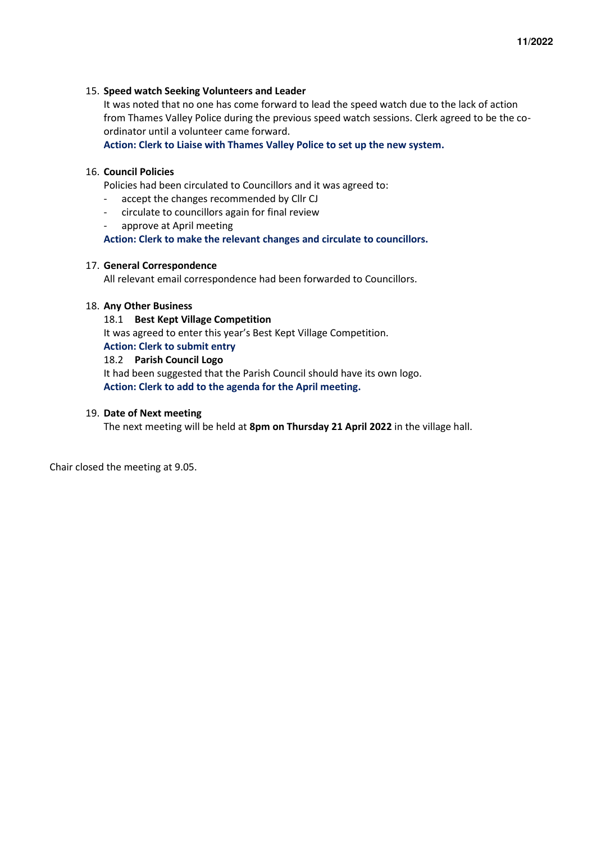#### 15. **Speed watch Seeking Volunteers and Leader**

It was noted that no one has come forward to lead the speed watch due to the lack of action from Thames Valley Police during the previous speed watch sessions. Clerk agreed to be the coordinator until a volunteer came forward.

**Action: Clerk to Liaise with Thames Valley Police to set up the new system.**

# 16. **Council Policies**

Policies had been circulated to Councillors and it was agreed to:

- accept the changes recommended by Cllr CJ
- circulate to councillors again for final review
- approve at April meeting

**Action: Clerk to make the relevant changes and circulate to councillors.** 

#### 17. **General Correspondence**

All relevant email correspondence had been forwarded to Councillors.

#### 18. **Any Other Business**

#### 18.1 **Best Kept Village Competition**

It was agreed to enter this year's Best Kept Village Competition.

#### **Action: Clerk to submit entry**

#### 18.2 **Parish Council Logo**

It had been suggested that the Parish Council should have its own logo. **Action: Clerk to add to the agenda for the April meeting.** 

#### 19. **Date of Next meeting**

The next meeting will be held at **8pm on Thursday 21 April 2022** in the village hall.

Chair closed the meeting at 9.05.